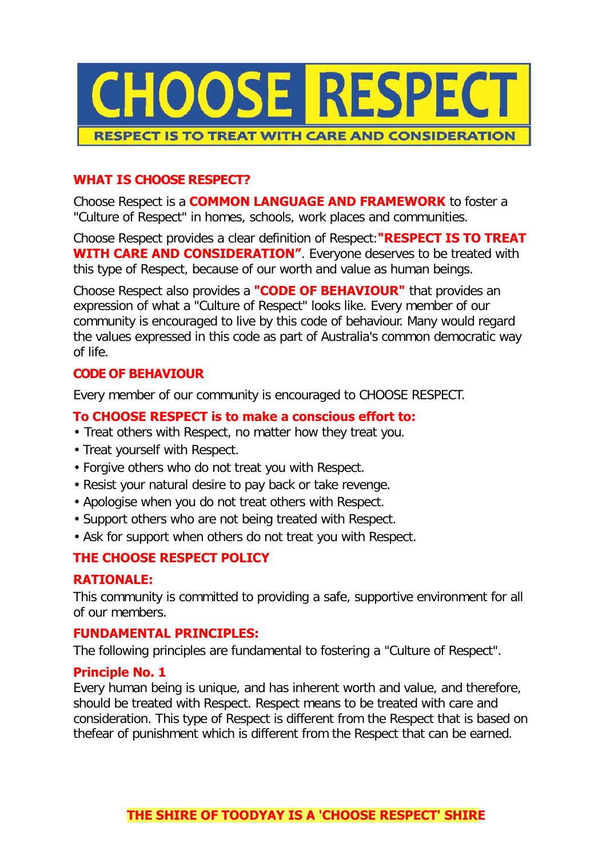

### **WHAT IS CHOOSE RESPECT?**

Choose Respect is a **COMMON LANGUAGE AND FRAMEWORK** to foster a "Culture of Respect" in homes, schools, work places and communities.

Choose Respect provides a clear definition of Respect:**"RESPECT IS TO TREAT WITH CARE AND CONSIDERATION"**. Everyone deserves to be treated with this type of Respect, because of our worth and value as human beings.

Choose Respect also provides a **"CODE OF BEHAVIOUR"** that provides an expression of what a "Culture of Respect" looks like. Every member of our community is encouraged to live by this code of behaviour. Many would regard the values expressed in this code as part of Australia's common democratic way of life.

### **CODE OF BEHAVIOUR**

Every member of our community is encouraged to CHOOSE RESPECT.

### **To CHOOSE RESPECT is to make a conscious effort to:**

- Treat others with Respect, no matter how they treat you.
- Treat yourself with Respect.
- Forgive others who do not treat you with Respect.
- Resist your natural desire to pay back or take revenge.
- Apologise when you do not treat others with Respect.
- Support others who are not being treated with Respect.
- Ask for support when others do not treat you with Respect.

### **THE CHOOSE RESPECT POLICY**

### **RATIONALE:**

This community is committed to providing a safe, supportive environment for all of our members.

### **FUNDAMENTAL PRINCIPLES:**

The following principles are fundamental to fostering a "Culture of Respect".

### **Principle No. 1**

Every human being is unique, and has inherent worth and value, and therefore, should be treated with Respect. Respect means to be treated with care and consideration. This type of Respect is different from the Respect that is based on thefear of punishment which is different from the Respect that can be earned.